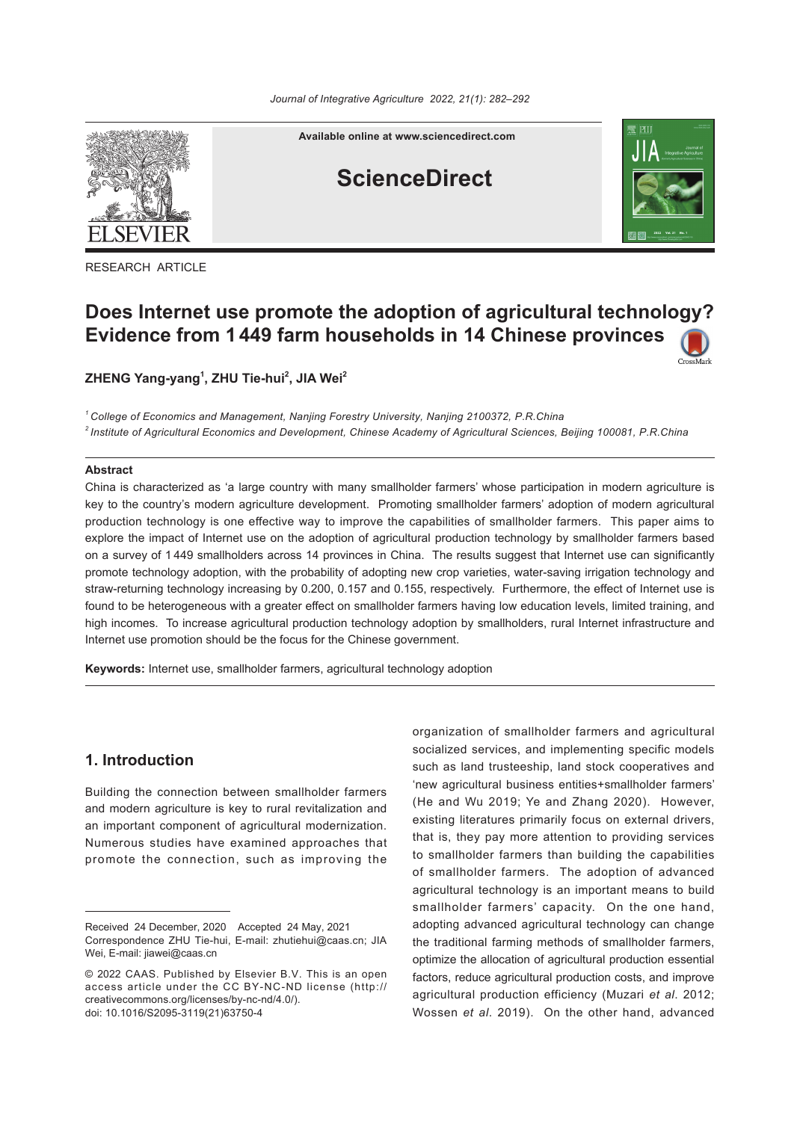

**Available online at www.sciencedirect.com**

# **ScienceDirect**



RESEARCH ARTICLE

## **Does Internet use promote the adoption of agricultural technology? Evidence from 1 449 farm households in 14 Chinese provinces**

**ZHENG Yang-yang1 , ZHU Tie-hui2 , JIA Wei2**

*<sup>1</sup> College of Economics and Management, Nanjing Forestry University, Nanjing 2100372, P*.*R*.*China* <sup>2</sup> Institute of Agricultural Economics and Development, Chinese Academy of Agricultural Sciences, Beijing 100081, P.R.China

#### **Abstract**

China is characterized as 'a large country with many smallholder farmers' whose participation in modern agriculture is key to the country's modern agriculture development. Promoting smallholder farmers' adoption of modern agricultural production technology is one effective way to improve the capabilities of smallholder farmers. This paper aims to explore the impact of Internet use on the adoption of agricultural production technology by smallholder farmers based on a survey of 1 449 smallholders across 14 provinces in China. The results suggest that Internet use can significantly promote technology adoption, with the probability of adopting new crop varieties, water-saving irrigation technology and straw-returning technology increasing by 0.200, 0.157 and 0.155, respectively. Furthermore, the effect of Internet use is found to be heterogeneous with a greater effect on smallholder farmers having low education levels, limited training, and high incomes. To increase agricultural production technology adoption by smallholders, rural Internet infrastructure and Internet use promotion should be the focus for the Chinese government.

**Keywords:** Internet use, smallholder farmers, agricultural technology adoption

## **1. Introduction**

Building the connection between smallholder farmers and modern agriculture is key to rural revitalization and an important component of agricultural modernization. Numerous studies have examined approaches that promote the connection, such as improving the

organization of smallholder farmers and agricultural socialized services, and implementing specific models such as land trusteeship, land stock cooperatives and 'new agricultural business entities+smallholder farmers' (He and Wu 2019; Ye and Zhang 2020). However, existing literatures primarily focus on external drivers, that is, they pay more attention to providing services to smallholder farmers than building the capabilities of smallholder farmers. The adoption of advanced agricultural technology is an important means to build smallholder farmers' capacity. On the one hand, adopting advanced agricultural technology can change the traditional farming methods of smallholder farmers, optimize the allocation of agricultural production essential factors, reduce agricultural production costs, and improve agricultural production efficiency (Muzari *et al*. 2012; Wossen *et al*. 2019). On the other hand, advanced

Received 24 December, 2020 Accepted 24 May, 2021 Correspondence ZHU Tie-hui, E-mail: zhutiehui@caas.cn; JIA Wei, E-mail: jiawei@caas.cn

<sup>© 2022</sup> CAAS. Published by Elsevier B.V. This is an open access article under the CC BY-NC-ND license (http:// creativecommons.org/licenses/by-nc-nd/4.0/). doi: 10.1016/S2095-3119(21)63750-4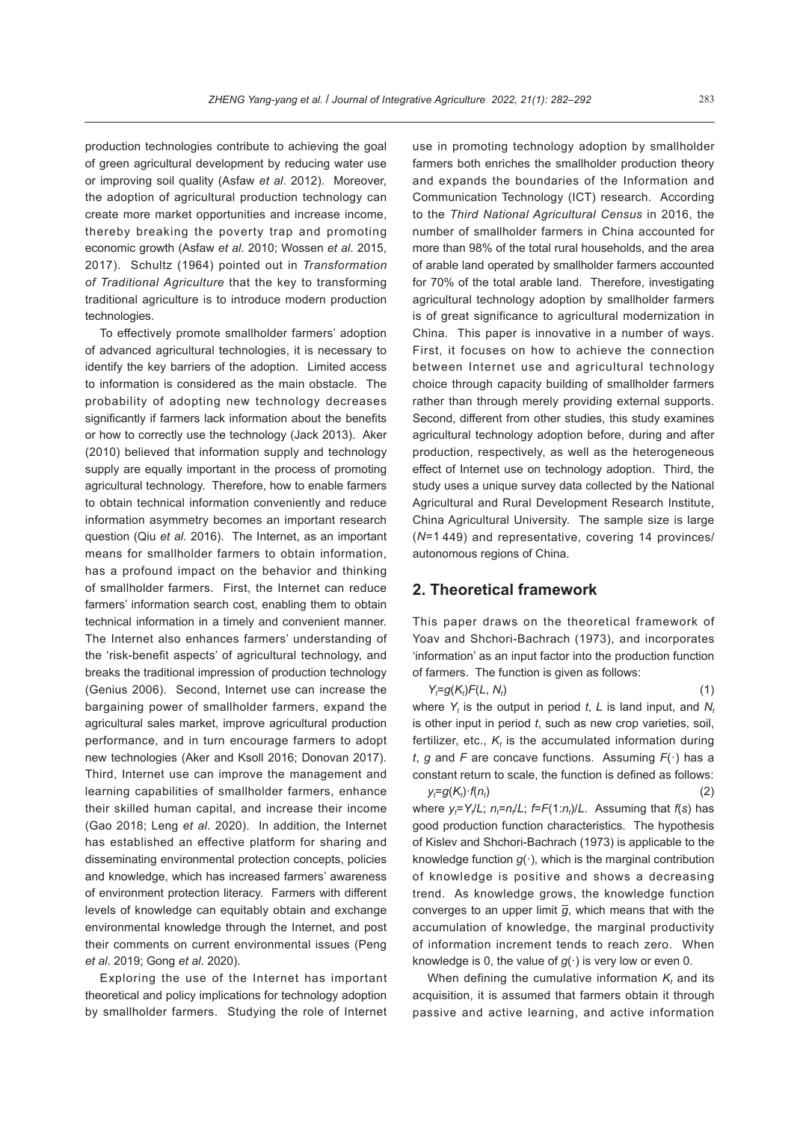production technologies contribute to achieving the goal of green agricultural development by reducing water use or improving soil quality (Asfaw *et al*. 2012). Moreover, the adoption of agricultural production technology can create more market opportunities and increase income, thereby breaking the poverty trap and promoting economic growth (Asfaw *et al*. 2010; Wossen *et al*. 2015, 2017). Schultz (1964) pointed out in *Transformation of Traditional Agriculture* that the key to transforming traditional agriculture is to introduce modern production technologies.

To effectively promote smallholder farmers' adoption of advanced agricultural technologies, it is necessary to identify the key barriers of the adoption. Limited access to information is considered as the main obstacle. The probability of adopting new technology decreases significantly if farmers lack information about the benefits or how to correctly use the technology (Jack 2013). Aker (2010) believed that information supply and technology supply are equally important in the process of promoting agricultural technology. Therefore, how to enable farmers to obtain technical information conveniently and reduce information asymmetry becomes an important research question (Qiu *et al*. 2016). The Internet, as an important means for smallholder farmers to obtain information, has a profound impact on the behavior and thinking of smallholder farmers. First, the Internet can reduce farmers' information search cost, enabling them to obtain technical information in a timely and convenient manner. The Internet also enhances farmers' understanding of the 'risk-benefit aspects' of agricultural technology, and breaks the traditional impression of production technology (Genius 2006). Second, Internet use can increase the bargaining power of smallholder farmers, expand the agricultural sales market, improve agricultural production performance, and in turn encourage farmers to adopt new technologies (Aker and Ksoll 2016; Donovan 2017). Third, Internet use can improve the management and learning capabilities of smallholder farmers, enhance their skilled human capital, and increase their income (Gao 2018; Leng *et al*. 2020). In addition, the Internet has established an effective platform for sharing and disseminating environmental protection concepts, policies and knowledge, which has increased farmers' awareness of environment protection literacy. Farmers with different levels of knowledge can equitably obtain and exchange environmental knowledge through the Internet, and post their comments on current environmental issues (Peng *et al*. 2019; Gong *et al*. 2020).

Exploring the use of the Internet has important theoretical and policy implications for technology adoption by smallholder farmers. Studying the role of Internet use in promoting technology adoption by smallholder farmers both enriches the smallholder production theory and expands the boundaries of the Information and Communication Technology (ICT) research. According to the *Third National Agricultural Census* in 2016, the number of smallholder farmers in China accounted for more than 98% of the total rural households, and the area of arable land operated by smallholder farmers accounted for 70% of the total arable land. Therefore, investigating agricultural technology adoption by smallholder farmers is of great significance to agricultural modernization in China. This paper is innovative in a number of ways. First, it focuses on how to achieve the connection between Internet use and agricultural technology choice through capacity building of smallholder farmers rather than through merely providing external supports. Second, different from other studies, this study examines agricultural technology adoption before, during and after production, respectively, as well as the heterogeneous effect of Internet use on technology adoption. Third, the study uses a unique survey data collected by the National Agricultural and Rural Development Research Institute, China Agricultural University. The sample size is large (*N*=1 449) and representative, covering 14 provinces/ autonomous regions of China.

#### **2. Theoretical framework**

This paper draws on the theoretical framework of Yoav and Shchori-Bachrach (1973), and incorporates 'information' as an input factor into the production function of farmers. The function is given as follows:

*Y<sub>t</sub>*=g(*K<sub>t</sub>*)*F*(*L*, *N<sub>i</sub>*  $\hspace{1.6cm}$  (1) where  $Y_t$  is the output in period t, L is land input, and  $N_t$ is other input in period *t*, such as new crop varieties, soil, fertilizer, etc.,  $K_{t}$  is the accumulated information during *t*, *g* and *F* are concave functions. Assuming *F*(·) has a constant return to scale, the function is defined as follows: *yt* =*g*(*Kt* )·*f*(*nt*  $\qquad \qquad \text{(2)}$ 

where  $y_t = Y_t/L$ ;  $n_t = n_t/L$ ;  $t = F(1:n_t)/L$ . Assuming that  $f(s)$  has good production function characteristics. The hypothesis of Kislev and Shchori-Bachrach (1973) is applicable to the knowledge function  $g(\cdot)$ , which is the marginal contribution of knowledge is positive and shows a decreasing trend. As knowledge grows, the knowledge function converges to an upper limit  $\overline{g}$ , which means that with the accumulation of knowledge, the marginal productivity of information increment tends to reach zero. When knowledge is 0, the value of  $g(\cdot)$  is very low or even 0.

When defining the cumulative information  $K_t$  and its acquisition, it is assumed that farmers obtain it through passive and active learning, and active information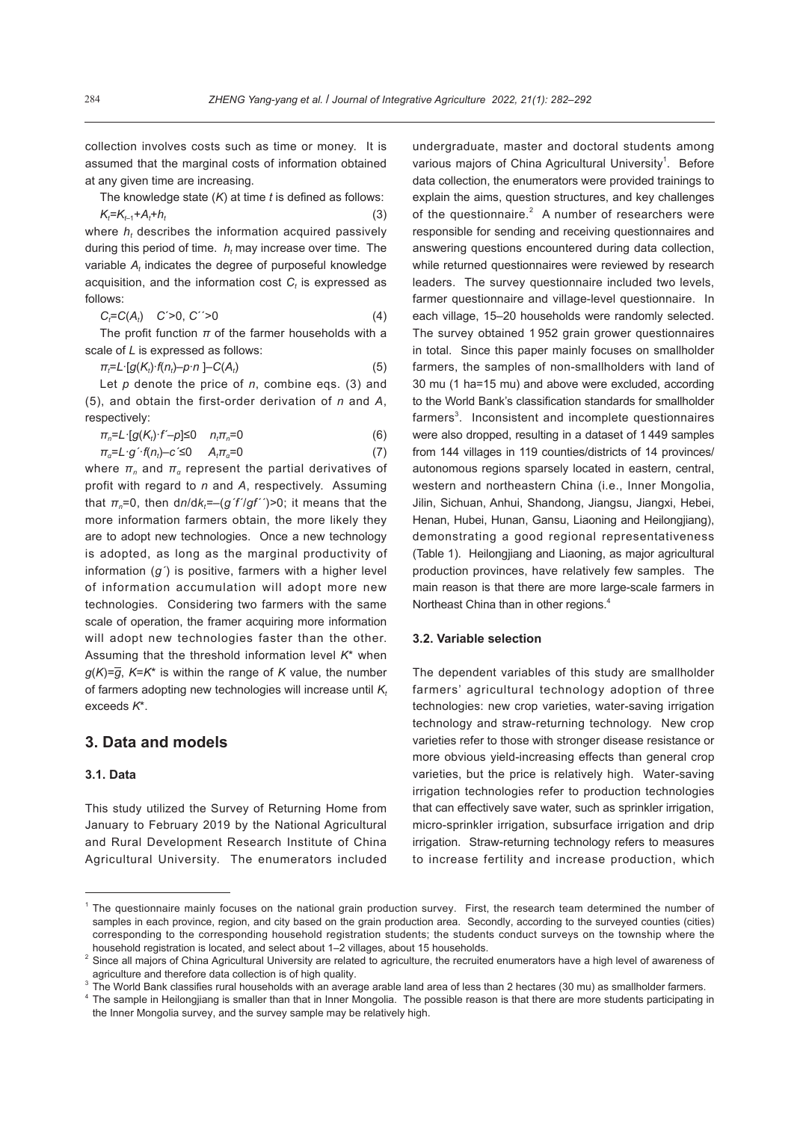collection involves costs such as time or money. It is assumed that the marginal costs of information obtained at any given time are increasing.

The knowledge state (*K*) at time *t* is defined as follows:  $K_t$ = $K_{t-1}$ + $A_t$  $+h_t$  (3)

where  $h_t$  describes the information acquired passively during this period of time.  $h_t$  may increase over time. The variable  $A_t$  indicates the degree of purposeful knowledge acquisition, and the information cost  $C_t$  is expressed as follows:

$$
C_t = C(A_t) \t C' > 0, C' > 0 \t (4)
$$

The profit function  $\pi$  of the farmer households with a scale of *L* is expressed as follows:

$$
\pi_t = L \cdot [g(K_t) \cdot f(n_t) - p \cdot n] - C(A_t) \tag{5}
$$

Let *p* denote the price of *n*, combine eqs. (3) and (5), and obtain the first-order derivation of *n* and *A*, respectively:

| $\pi_{n} = L \cdot [g(K_{t}) \cdot f - p] \leq 0$ $n_{t} \pi_{n} = 0$                                                                                                                                                                                                                                                                                                                                                    | (6) |
|--------------------------------------------------------------------------------------------------------------------------------------------------------------------------------------------------------------------------------------------------------------------------------------------------------------------------------------------------------------------------------------------------------------------------|-----|
| $ \left  \right $ $\left  \right $ $\left  \right $ $\left  \right $ $\left  \right $ $\left  \right $ $\left  \right $ $\left  \right $ $\left  \right $ $\left  \right $ $\left  \right $ $\left  \right $ $\left  \right $ $\left  \right $ $\left  \right $ $\left  \right $ $\left  \right $ $\left  \right $ $\left  \right $ $\left  \right $ $\left  \right $ $\left  \right $ $\left  \right $ $\left  \right $ |     |

 $\pi_a = L \cdot g' \cdot f(n_t) - c' \le 0$  *A<sub>t</sub>* $\pi_a = 0$  (7)

where  $\pi_n$  and  $\pi_q$  represent the partial derivatives of profit with regard to *n* and *A*, respectively. Assuming that *πn*=0, then d*n*/d*kt =–*(*g´f´*/*gf´´*)*>*0; it means that the more information farmers obtain, the more likely they are to adopt new technologies. Once a new technology is adopted, as long as the marginal productivity of information (*g´*) is positive, farmers with a higher level of information accumulation will adopt more new technologies. Considering two farmers with the same scale of operation, the framer acquiring more information will adopt new technologies faster than the other. Assuming that the threshold information level *K*\* when  $g(K)=\overline{g}$ ,  $K=K^*$  is within the range of *K* value, the number of farmers adopting new technologies will increase until K<sub>t</sub> exceeds *K*\*.

#### **3. Data and models**

#### **3.1. Data**

This study utilized the Survey of Returning Home from January to February 2019 by the National Agricultural and Rural Development Research Institute of China Agricultural University. The enumerators included undergraduate, master and doctoral students among various majors of China Agricultural University<sup>1</sup>. Before data collection, the enumerators were provided trainings to explain the aims, question structures, and key challenges of the questionnaire. $2$  A number of researchers were responsible for sending and receiving questionnaires and answering questions encountered during data collection, while returned questionnaires were reviewed by research leaders. The survey questionnaire included two levels, farmer questionnaire and village-level questionnaire. In each village, 15–20 households were randomly selected. The survey obtained 1 952 grain grower questionnaires in total. Since this paper mainly focuses on smallholder farmers, the samples of non-smallholders with land of 30 mu (1 ha=15 mu) and above were excluded, according to the World Bank's classification standards for smallholder farmers<sup>3</sup>. Inconsistent and incomplete questionnaires were also dropped, resulting in a dataset of 1 449 samples from 144 villages in 119 counties/districts of 14 provinces/ autonomous regions sparsely located in eastern, central, western and northeastern China (i.e., Inner Mongolia, Jilin, Sichuan, Anhui, Shandong, Jiangsu, Jiangxi, Hebei, Henan, Hubei, Hunan, Gansu, Liaoning and Heilongjiang), demonstrating a good regional representativeness (Table 1). Heilongjiang and Liaoning, as major agricultural production provinces, have relatively few samples. The main reason is that there are more large-scale farmers in Northeast China than in other regions.<sup>4</sup>

#### **3.2. Variable selection**

The dependent variables of this study are smallholder farmers' agricultural technology adoption of three technologies: new crop varieties, water-saving irrigation technology and straw-returning technology. New crop varieties refer to those with stronger disease resistance or more obvious yield-increasing effects than general crop varieties, but the price is relatively high. Water-saving irrigation technologies refer to production technologies that can effectively save water, such as sprinkler irrigation, micro-sprinkler irrigation, subsurface irrigation and drip irrigation. Straw-returning technology refers to measures to increase fertility and increase production, which

<sup>1</sup> The questionnaire mainly focuses on the national grain production survey. First, the research team determined the number of samples in each province, region, and city based on the grain production area. Secondly, according to the surveyed counties (cities) corresponding to the corresponding household registration students; the students conduct surveys on the township where the household registration is located, and select about 1–2 villages, about 15 households.

 $2$  Since all majors of China Agricultural University are related to agriculture, the recruited enumerators have a high level of awareness of agriculture and therefore data collection is of high quality.

 $3$  The World Bank classifies rural households with an average arable land area of less than 2 hectares (30 mu) as smallholder farmers.

<sup>&</sup>lt;sup>4</sup> The sample in Heilongjiang is smaller than that in Inner Mongolia. The possible reason is that there are more students participating in the Inner Mongolia survey, and the survey sample may be relatively high.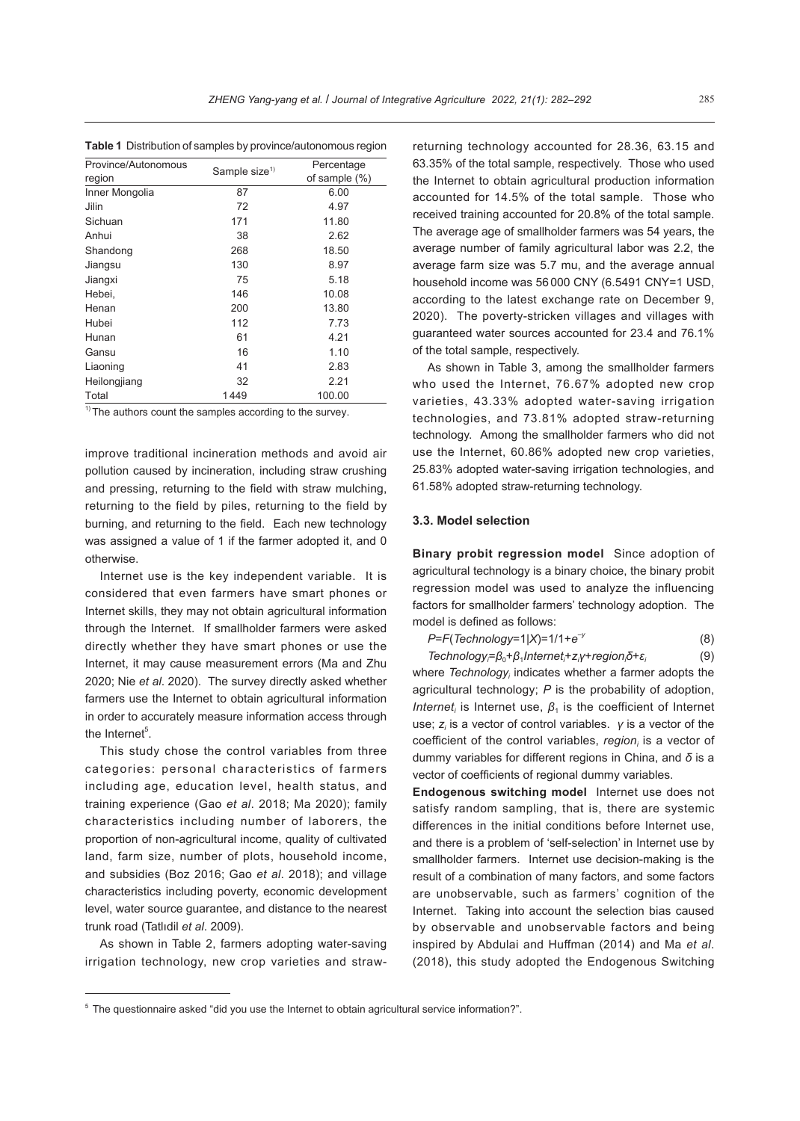**Table 1** Distribution of samples by province/autonomous region

| Province/Autonomous<br>region | Sample size <sup>1)</sup> | Percentage<br>of sample $(\%)$ |
|-------------------------------|---------------------------|--------------------------------|
| Inner Mongolia                | 87                        | 6.00                           |
| Jilin                         | 72                        | 4.97                           |
| Sichuan                       | 171                       | 11.80                          |
| Anhui                         | 38                        | 2.62                           |
| Shandong                      | 268                       | 18.50                          |
| Jiangsu                       | 130                       | 8.97                           |
| Jiangxi                       | 75                        | 5.18                           |
| Hebei.                        | 146                       | 10.08                          |
| Henan                         | 200                       | 13.80                          |
| Hubei                         | 112                       | 7.73                           |
| Hunan                         | 61                        | 4.21                           |
| Gansu                         | 16                        | 1.10                           |
| Liaoning                      | 41                        | 2.83                           |
| Heilongjiang                  | 32                        | 2.21                           |
| Total                         | 1449                      | 100.00                         |

 $\overline{1}$ <sup>1)</sup> The authors count the samples according to the survey.

improve traditional incineration methods and avoid air pollution caused by incineration, including straw crushing and pressing, returning to the field with straw mulching, returning to the field by piles, returning to the field by burning, and returning to the field. Each new technology was assigned a value of 1 if the farmer adopted it, and 0 otherwise.

Internet use is the key independent variable. It is considered that even farmers have smart phones or Internet skills, they may not obtain agricultural information through the Internet. If smallholder farmers were asked directly whether they have smart phones or use the Internet, it may cause measurement errors (Ma and Zhu 2020; Nie *et al*. 2020). The survey directly asked whether farmers use the Internet to obtain agricultural information in order to accurately measure information access through the Internet<sup>5</sup>.

This study chose the control variables from three categories: personal characteristics of farmers including age, education level, health status, and training experience (Gao *et al*. 2018; Ma 2020); family characteristics including number of laborers, the proportion of non-agricultural income, quality of cultivated land, farm size, number of plots, household income, and subsidies (Boz 2016; Gao *et al*. 2018); and village characteristics including poverty, economic development level, water source guarantee, and distance to the nearest trunk road (Tatlıdil *et al*. 2009).

As shown in Table 2, farmers adopting water-saving irrigation technology, new crop varieties and strawreturning technology accounted for 28.36, 63.15 and 63.35% of the total sample, respectively. Those who used the Internet to obtain agricultural production information accounted for 14.5% of the total sample. Those who received training accounted for 20.8% of the total sample. The average age of smallholder farmers was 54 years, the average number of family agricultural labor was 2.2, the average farm size was 5.7 mu, and the average annual household income was 56 000 CNY (6.5491 CNY=1 USD, according to the latest exchange rate on December 9, 2020). The poverty-stricken villages and villages with guaranteed water sources accounted for 23.4 and 76.1% of the total sample, respectively.

As shown in Table 3, among the smallholder farmers who used the Internet, 76.67% adopted new crop varieties, 43.33% adopted water-saving irrigation technologies, and 73.81% adopted straw-returning technology. Among the smallholder farmers who did not use the Internet, 60.86% adopted new crop varieties, 25.83% adopted water-saving irrigation technologies, and 61.58% adopted straw-returning technology.

#### **3.3. Model selection**

**Binary probit regression model** Since adoption of agricultural technology is a binary choice, the binary probit regression model was used to analyze the influencing factors for smallholder farmers' technology adoption. The model is defined as follows:

*P*=*F*(*Technology*=1|*X*)=1/1+*e*–*<sup>y</sup>* (8)

*Technologyi* =*β*0+*β*1*Interneti* +*zi γ*+*regioni δ*+*ε<sup>i</sup>* (9)

where Technology<sub>i</sub> indicates whether a farmer adopts the agricultural technology; *P* is the probability of adoption, *Internet<sub>i</sub>* is Internet use,  $\beta_1$  is the coefficient of Internet use; *zi* is a vector of control variables. *γ* is a vector of the coefficient of the control variables, *region<sub>i</sub>* is a vector of dummy variables for different regions in China, and *δ* is a vector of coefficients of regional dummy variables.

**Endogenous switching model** Internet use does not satisfy random sampling, that is, there are systemic differences in the initial conditions before Internet use, and there is a problem of 'self-selection' in Internet use by smallholder farmers. Internet use decision-making is the result of a combination of many factors, and some factors are unobservable, such as farmers' cognition of the Internet. Taking into account the selection bias caused by observable and unobservable factors and being inspired by Abdulai and Huffman (2014) and Ma *et al*. (2018), this study adopted the Endogenous Switching

<sup>5</sup> The questionnaire asked "did you use the Internet to obtain agricultural service information?".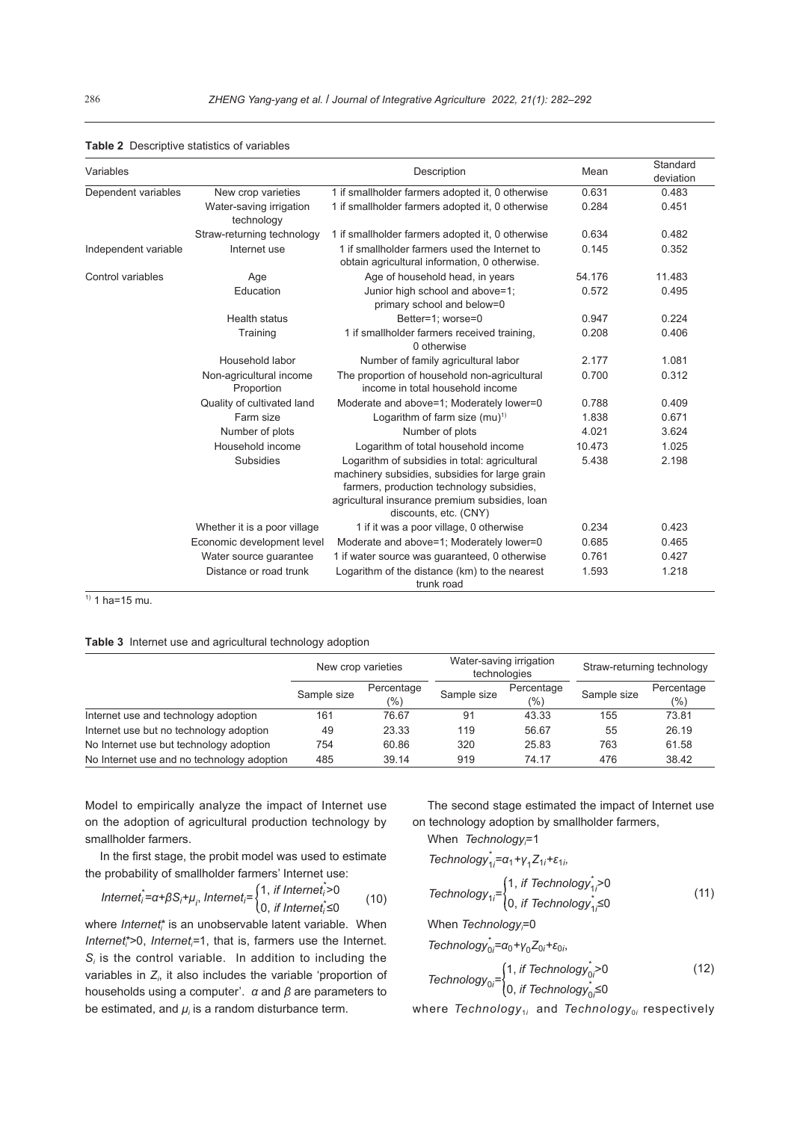| Variables            |                                       | Description                                                                                                                                                                                                             | Mean   | Standard<br>deviation |
|----------------------|---------------------------------------|-------------------------------------------------------------------------------------------------------------------------------------------------------------------------------------------------------------------------|--------|-----------------------|
| Dependent variables  | New crop varieties                    | 1 if smallholder farmers adopted it, 0 otherwise                                                                                                                                                                        | 0.631  | 0.483                 |
|                      | Water-saving irrigation<br>technology | 1 if smallholder farmers adopted it, 0 otherwise                                                                                                                                                                        | 0.284  | 0.451                 |
|                      | Straw-returning technology            | 1 if smallholder farmers adopted it, 0 otherwise                                                                                                                                                                        | 0.634  | 0.482                 |
| Independent variable | Internet use                          | 1 if smallholder farmers used the Internet to<br>obtain agricultural information, 0 otherwise.                                                                                                                          | 0.145  | 0.352                 |
| Control variables    | Age                                   | Age of household head, in years                                                                                                                                                                                         | 54.176 | 11.483                |
|                      | Education                             | Junior high school and above=1;<br>primary school and below=0                                                                                                                                                           | 0.572  | 0.495                 |
|                      | Health status                         | Better=1; worse=0                                                                                                                                                                                                       | 0.947  | 0.224                 |
|                      | Training                              | 1 if smallholder farmers received training,<br>0 otherwise                                                                                                                                                              | 0.208  | 0.406                 |
|                      | Household labor                       | Number of family agricultural labor                                                                                                                                                                                     | 2.177  | 1.081                 |
|                      | Non-agricultural income<br>Proportion | The proportion of household non-agricultural<br>income in total household income                                                                                                                                        | 0.700  | 0.312                 |
|                      | Quality of cultivated land            | Moderate and above=1; Moderately lower=0                                                                                                                                                                                | 0.788  | 0.409                 |
|                      | Farm size                             | Logarithm of farm size $(mu)^{1}$                                                                                                                                                                                       | 1.838  | 0.671                 |
|                      | Number of plots                       | Number of plots                                                                                                                                                                                                         | 4.021  | 3.624                 |
|                      | Household income                      | Logarithm of total household income                                                                                                                                                                                     | 10.473 | 1.025                 |
|                      | <b>Subsidies</b>                      | Logarithm of subsidies in total: agricultural<br>machinery subsidies, subsidies for large grain<br>farmers, production technology subsidies,<br>agricultural insurance premium subsidies, loan<br>discounts, etc. (CNY) | 5.438  | 2.198                 |
|                      | Whether it is a poor village          | 1 if it was a poor village, 0 otherwise                                                                                                                                                                                 | 0.234  | 0.423                 |
|                      | Economic development level            | Moderate and above=1; Moderately lower=0                                                                                                                                                                                | 0.685  | 0.465                 |
|                      | Water source quarantee                | 1 if water source was guaranteed, 0 otherwise                                                                                                                                                                           | 0.761  | 0.427                 |
|                      | Distance or road trunk                | Logarithm of the distance (km) to the nearest<br>trunk road                                                                                                                                                             | 1.593  | 1.218                 |

**Table 2** Descriptive statistics of variables

 $<sup>1</sup>$  1 ha=15 mu.</sup>

**Table 3** Internet use and agricultural technology adoption

|                                            | New crop varieties |                   | Water-saving irrigation<br>technologies |                      | Straw-returning technology |                   |
|--------------------------------------------|--------------------|-------------------|-----------------------------------------|----------------------|----------------------------|-------------------|
|                                            | Sample size        | Percentage<br>(%) | Sample size                             | Percentage<br>$(\%)$ | Sample size                | Percentage<br>(%) |
| Internet use and technology adoption       | 161                | 76.67             | 91                                      | 43.33                | 155                        | 73.81             |
| Internet use but no technology adoption    | 49                 | 23.33             | 119                                     | 56.67                | 55                         | 26.19             |
| No Internet use but technology adoption    | 754                | 60.86             | 320                                     | 25.83                | 763                        | 61.58             |
| No Internet use and no technology adoption | 485                | 39.14             | 919                                     | 74.17                | 476                        | 38.42             |

Model to empirically analyze the impact of Internet use on the adoption of agricultural production technology by smallholder farmers.

In the first stage, the probit model was used to estimate the probability of smallholder farmers' Internet use:<br> $(4 \text{ if Internet})$ 

$$
Internet_i^* = \alpha + \beta S_i + \mu_i, Internet_i = \begin{cases} 1, & \text{if Internet}_i^* > 0 \\ 0, & \text{if Internet}_i^* \le 0 \end{cases} \tag{10}
$$

where *Internet*<sup>\*</sup> is an unobservable latent variable. When *Internet*<sup>\*</sup>>0, *Internet*<sup>=1</sup>, that is, farmers use the Internet. *Si* is the control variable. In addition to including the variables in *Zi* , it also includes the variable 'proportion of households using a computer'. *α* and *β* are parameters to be estimated, and *μ<sub>i</sub>* is a random disturbance term.

The second stage estimated the impact of Internet use on technology adoption by smallholder farmers,

When *Technology*=1

$$
\text{Technology}_{1i}^* = \alpha_1 + \gamma_1 Z_{1i} + \varepsilon_{1i},
$$

$$
Technology_{1i} = \begin{cases} 1, & \text{if Technology}_{1i} > 0 \\ 0, & \text{if Technology}_{1i} \le 0 \end{cases}
$$
 (11)

When *Technology*;=0

*Technology*<sup><sup>\*</sup><sub>0</sub>*i*</sub>= $\alpha$ <sup>0</sup> + *γ*<sup>0</sup><sub>*Z*<sup>0*i*</sup></sub> + ε<sub>0*i*</sub></sub></sup>

$$
Technology_{0i} = \begin{cases} 1, & \text{if Technology}_{0i} > 0 \\ 0, & \text{if Technology}_{0i} \le 0 \end{cases}
$$
 (12)

where *Technology*<sub>1*i*</sub> and *Technology*<sub>0*i*</sub> respectively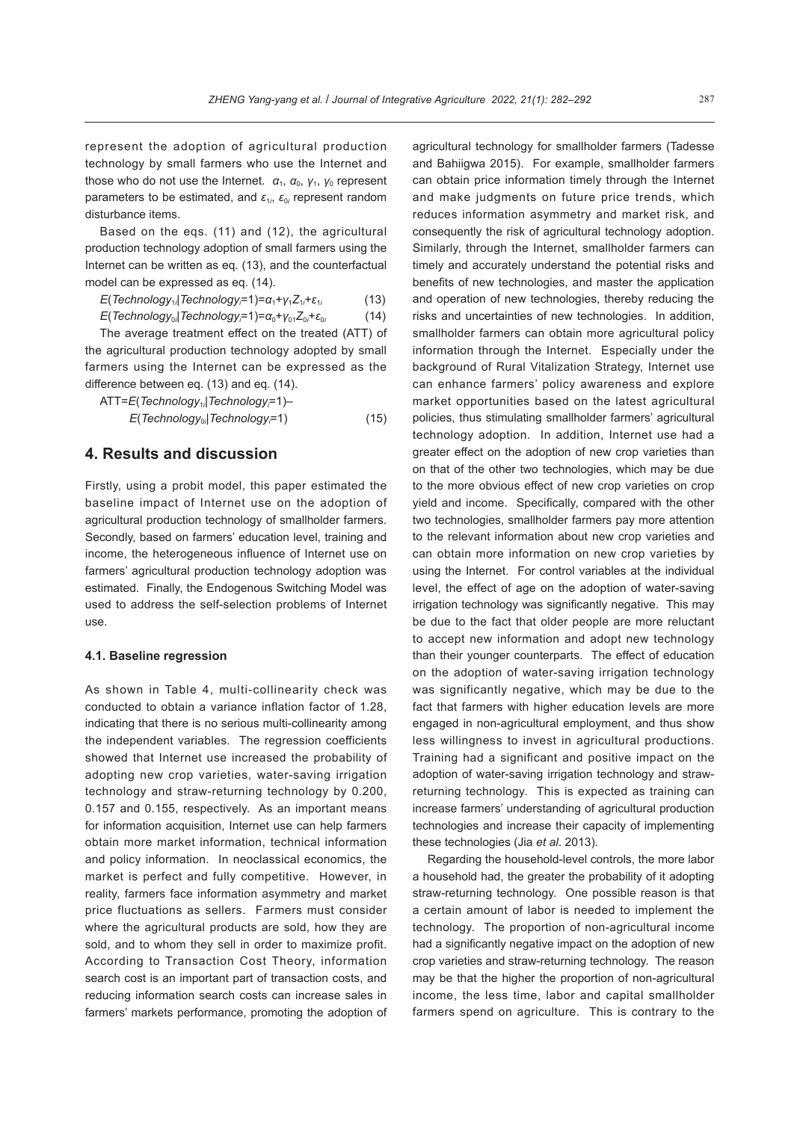represent the adoption of agricultural production technology by small farmers who use the Internet and those who do not use the Internet.  $\alpha_1$ ,  $\alpha_0$ ,  $\gamma_1$ ,  $\gamma_0$  represent parameters to be estimated, and *ε*<sup>1</sup>*<sup>i</sup>* , *ε*<sup>0</sup>*<sup>i</sup>* represent random disturbance items.

Based on the eqs. (11) and (12), the agricultural production technology adoption of small farmers using the Internet can be written as eq. (13), and the counterfactual model can be expressed as eq. (14).

*E*(Technology<sub>1i</sub>|Technology=1)=α<sub>1</sub>+γ<sub>1</sub>Z<sub>1i</sub>+ε<sub>1i</sub> (13) *E*(Technology<sub>oi</sub>|Technology;=1)=α<sub>0</sub>+γ<sub>01</sub>Z<sub>0i</sub>+ε<sub>0</sub> (14)

The average treatment effect on the treated (ATT) of the agricultural production technology adopted by small farmers using the Internet can be expressed as the difference between eq. (13) and eq. (14).

| ATT=E(Technology <sub>1i</sub>  Technology;=1)– |      |
|-------------------------------------------------|------|
| $E(Technology_{0i} Technology_{i}=1)$           | (15) |

## **4. Results and discussion**

Firstly, using a probit model, this paper estimated the baseline impact of Internet use on the adoption of agricultural production technology of smallholder farmers. Secondly, based on farmers' education level, training and income, the heterogeneous influence of Internet use on farmers' agricultural production technology adoption was estimated. Finally, the Endogenous Switching Model was used to address the self-selection problems of Internet use.

#### **4.1. Baseline regression**

As shown in Table 4, multi-collinearity check was conducted to obtain a variance inflation factor of 1.28, indicating that there is no serious multi-collinearity among the independent variables. The regression coefficients showed that Internet use increased the probability of adopting new crop varieties, water-saving irrigation technology and straw-returning technology by 0.200, 0.157 and 0.155, respectively. As an important means for information acquisition, Internet use can help farmers obtain more market information, technical information and policy information. In neoclassical economics, the market is perfect and fully competitive. However, in reality, farmers face information asymmetry and market price fluctuations as sellers. Farmers must consider where the agricultural products are sold, how they are sold, and to whom they sell in order to maximize profit. According to Transaction Cost Theory, information search cost is an important part of transaction costs, and reducing information search costs can increase sales in farmers' markets performance, promoting the adoption of

agricultural technology for smallholder farmers (Tadesse and Bahiigwa 2015). For example, smallholder farmers can obtain price information timely through the Internet and make judgments on future price trends, which reduces information asymmetry and market risk, and consequently the risk of agricultural technology adoption. Similarly, through the Internet, smallholder farmers can timely and accurately understand the potential risks and benefits of new technologies, and master the application and operation of new technologies, thereby reducing the risks and uncertainties of new technologies. In addition, smallholder farmers can obtain more agricultural policy information through the Internet. Especially under the background of Rural Vitalization Strategy, Internet use can enhance farmers' policy awareness and explore market opportunities based on the latest agricultural policies, thus stimulating smallholder farmers' agricultural technology adoption. In addition, Internet use had a greater effect on the adoption of new crop varieties than on that of the other two technologies, which may be due to the more obvious effect of new crop varieties on crop yield and income. Specifically, compared with the other two technologies, smallholder farmers pay more attention to the relevant information about new crop varieties and can obtain more information on new crop varieties by using the Internet. For control variables at the individual level, the effect of age on the adoption of water-saving irrigation technology was significantly negative. This may be due to the fact that older people are more reluctant to accept new information and adopt new technology than their younger counterparts. The effect of education on the adoption of water-saving irrigation technology was significantly negative, which may be due to the fact that farmers with higher education levels are more engaged in non-agricultural employment, and thus show less willingness to invest in agricultural productions. Training had a significant and positive impact on the adoption of water-saving irrigation technology and strawreturning technology. This is expected as training can increase farmers' understanding of agricultural production technologies and increase their capacity of implementing these technologies (Jia *et al*. 2013).

Regarding the household-level controls, the more labor a household had, the greater the probability of it adopting straw-returning technology. One possible reason is that a certain amount of labor is needed to implement the technology. The proportion of non-agricultural income had a significantly negative impact on the adoption of new crop varieties and straw-returning technology. The reason may be that the higher the proportion of non-agricultural income, the less time, labor and capital smallholder farmers spend on agriculture. This is contrary to the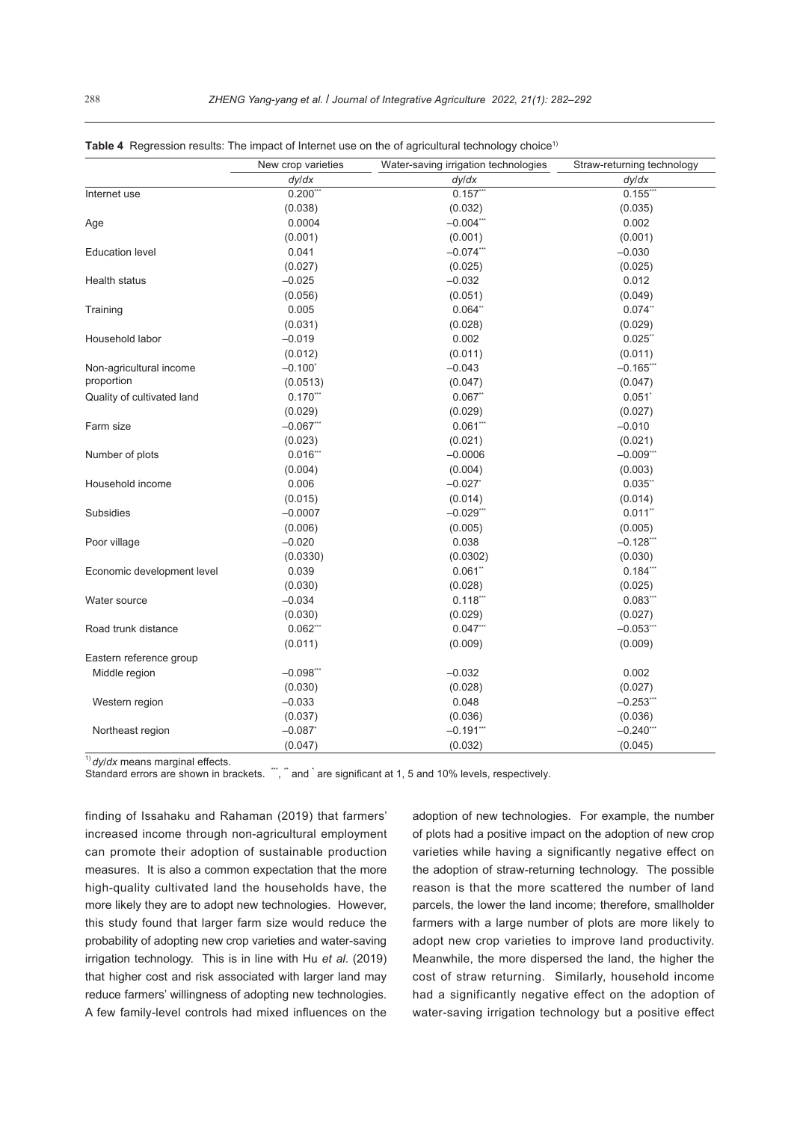|                            | New crop varieties    | Water-saving irrigation technologies | Straw-returning technology |
|----------------------------|-----------------------|--------------------------------------|----------------------------|
|                            | dy/dx                 | dy/dx                                | dyldx                      |
| Internet use               | $0.200$ ***           | 0.157'''                             | $0.155***$                 |
|                            | (0.038)               | (0.032)                              | (0.035)                    |
| Age                        | 0.0004                | $-0.004$ ***                         | 0.002                      |
|                            | (0.001)               | (0.001)                              | (0.001)                    |
| <b>Education level</b>     | 0.041                 | $-0.074$ ***                         | $-0.030$                   |
|                            | (0.027)               | (0.025)                              | (0.025)                    |
| Health status              | $-0.025$              | $-0.032$                             | 0.012                      |
|                            | (0.056)               | (0.051)                              | (0.049)                    |
| Training                   | 0.005                 | 0.064"                               | 0.074"                     |
|                            | (0.031)               | (0.028)                              | (0.029)                    |
| Household labor            | $-0.019$              | 0.002                                | 0.025"                     |
|                            | (0.012)               | (0.011)                              | (0.011)                    |
| Non-agricultural income    | $-0.100$ <sup>*</sup> | $-0.043$                             | $-0.165$ ***               |
| proportion                 | (0.0513)              | (0.047)                              | (0.047)                    |
| Quality of cultivated land | 0.170                 | 0.067"                               | 0.051                      |
|                            | (0.029)               | (0.029)                              | (0.027)                    |
| Farm size                  | $-0.067$ ***          | $0.061$ ***                          | $-0.010$                   |
|                            | (0.023)               | (0.021)                              | (0.021)                    |
| Number of plots            | $0.016$ **            | $-0.0006$                            | $-0.009***$                |
|                            | (0.004)               | (0.004)                              | (0.003)                    |
| Household income           | 0.006                 | $-0.027$                             | 0.035"                     |
|                            | (0.015)               | (0.014)                              | (0.014)                    |
| Subsidies                  | $-0.0007$             | $-0.029$ **                          | 0.011"                     |
|                            | (0.006)               | (0.005)                              | (0.005)                    |
| Poor village               | $-0.020$              | 0.038                                | $-0.128$ ***               |
|                            | (0.0330)              | (0.0302)                             | (0.030)                    |
| Economic development level | 0.039                 | $0.061$ "                            | $0.184***$                 |
|                            | (0.030)               | (0.028)                              | (0.025)                    |
| Water source               | $-0.034$              | $0.118***$                           | $0.083***$                 |
|                            | (0.030)               | (0.029)                              | (0.027)                    |
| Road trunk distance        | $0.062$ ***           | $0.047$ "                            | $-0.053$                   |
|                            | (0.011)               | (0.009)                              | (0.009)                    |
| Eastern reference group    |                       |                                      |                            |
| Middle region              | $-0.098$ ***          | $-0.032$                             | 0.002                      |
|                            | (0.030)               | (0.028)                              | (0.027)                    |
| Western region             | $-0.033$              | 0.048                                | $-0.253$ **                |
|                            | (0.037)               | (0.036)                              | (0.036)                    |
| Northeast region           | $-0.087$              | $-0.191$ ***                         | $-0.240$ ***               |
|                            | (0.047)               | (0.032)                              | (0.045)                    |

|  | Table 4 Regression results: The impact of Internet use on the of agricultural technology choice <sup>1)</sup> |  |  |
|--|---------------------------------------------------------------------------------------------------------------|--|--|
|  |                                                                                                               |  |  |

1) *dy*/*dx* means marginal effects.

Standard errors are shown in brackets. "", " and ' are significant at 1, 5 and 10% levels, respectively.

finding of Issahaku and Rahaman (2019) that farmers' increased income through non-agricultural employment can promote their adoption of sustainable production measures. It is also a common expectation that the more high-quality cultivated land the households have, the more likely they are to adopt new technologies. However, this study found that larger farm size would reduce the probability of adopting new crop varieties and water-saving irrigation technology. This is in line with Hu *et al*. (2019) that higher cost and risk associated with larger land may reduce farmers' willingness of adopting new technologies. A few family-level controls had mixed influences on the

adoption of new technologies. For example, the number of plots had a positive impact on the adoption of new crop varieties while having a significantly negative effect on the adoption of straw-returning technology. The possible reason is that the more scattered the number of land parcels, the lower the land income; therefore, smallholder farmers with a large number of plots are more likely to adopt new crop varieties to improve land productivity. Meanwhile, the more dispersed the land, the higher the cost of straw returning. Similarly, household income had a significantly negative effect on the adoption of water-saving irrigation technology but a positive effect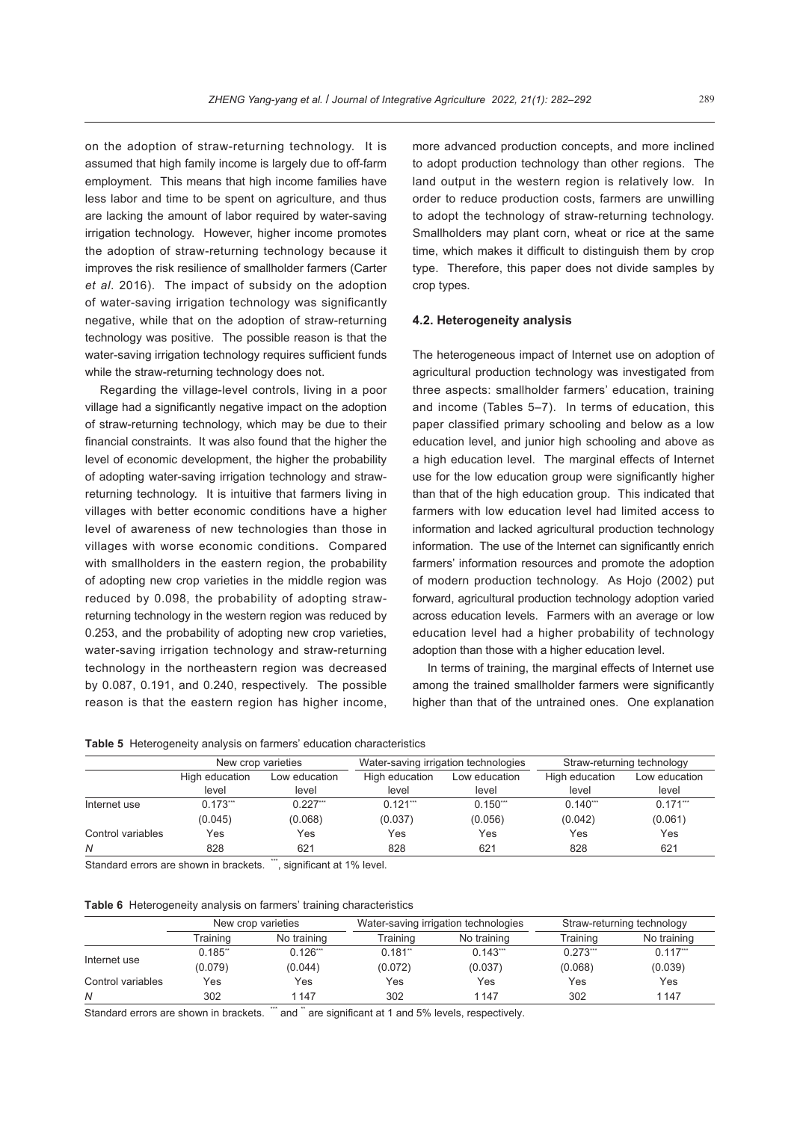on the adoption of straw-returning technology. It is assumed that high family income is largely due to off-farm employment. This means that high income families have less labor and time to be spent on agriculture, and thus are lacking the amount of labor required by water-saving irrigation technology. However, higher income promotes the adoption of straw-returning technology because it improves the risk resilience of smallholder farmers (Carter *et al*. 2016). The impact of subsidy on the adoption of water-saving irrigation technology was significantly negative, while that on the adoption of straw-returning technology was positive. The possible reason is that the water-saving irrigation technology requires sufficient funds while the straw-returning technology does not.

Regarding the village-level controls, living in a poor village had a significantly negative impact on the adoption of straw-returning technology, which may be due to their financial constraints. It was also found that the higher the level of economic development, the higher the probability of adopting water-saving irrigation technology and strawreturning technology. It is intuitive that farmers living in villages with better economic conditions have a higher level of awareness of new technologies than those in villages with worse economic conditions. Compared with smallholders in the eastern region, the probability of adopting new crop varieties in the middle region was reduced by 0.098, the probability of adopting strawreturning technology in the western region was reduced by 0.253, and the probability of adopting new crop varieties, water-saving irrigation technology and straw-returning technology in the northeastern region was decreased by 0.087, 0.191, and 0.240, respectively. The possible reason is that the eastern region has higher income,

more advanced production concepts, and more inclined to adopt production technology than other regions. The land output in the western region is relatively low. In order to reduce production costs, farmers are unwilling to adopt the technology of straw-returning technology. Smallholders may plant corn, wheat or rice at the same time, which makes it difficult to distinguish them by crop type. Therefore, this paper does not divide samples by crop types.

#### **4.2. Heterogeneity analysis**

The heterogeneous impact of Internet use on adoption of agricultural production technology was investigated from three aspects: smallholder farmers' education, training and income (Tables 5–7). In terms of education, this paper classified primary schooling and below as a low education level, and junior high schooling and above as a high education level. The marginal effects of Internet use for the low education group were significantly higher than that of the high education group. This indicated that farmers with low education level had limited access to information and lacked agricultural production technology information. The use of the Internet can significantly enrich farmers' information resources and promote the adoption of modern production technology. As Hojo (2002) put forward, agricultural production technology adoption varied across education levels. Farmers with an average or low education level had a higher probability of technology adoption than those with a higher education level.

In terms of training, the marginal effects of Internet use among the trained smallholder farmers were significantly higher than that of the untrained ones. One explanation

**Table 5** Heterogeneity analysis on farmers' education characteristics

|                   | New crop varieties      |                        | Water-saving irrigation technologies |                        |                         | Straw-returning technology |
|-------------------|-------------------------|------------------------|--------------------------------------|------------------------|-------------------------|----------------------------|
|                   | High education<br>level | Low education<br>level | High education<br>level              | Low education<br>level | High education<br>level | Low education<br>level     |
| Internet use      | $0.173$ ***             | 0.227'''               | $0.121$ <sup>***</sup>               | $0.150***$             | $0.140$ "               | $0.171$ <sup>***</sup>     |
| Control variables | (0.045)<br>Yes          | (0.068)<br>Yes         | (0.037)<br>Yes                       | (0.056)<br>Yes         | (0.042)<br>Yes          | (0.061)<br>Yes             |
| N                 | 828                     | 621                    | 828                                  | 621                    | 828                     | 621                        |

Standard errors are shown in brackets. \*\*\*, significant at 1% level.

|                   |          | New crop varieties |          |             |          | Water-saving irrigation technologies |  | Straw-returning technology |
|-------------------|----------|--------------------|----------|-------------|----------|--------------------------------------|--|----------------------------|
|                   | Fraining | No training        | Training | No training | Training | No training                          |  |                            |
|                   | 0.185"   | $0.126$ ***        | 0.181"   | $0.143***$  | 0.273''' | $0.117***$                           |  |                            |
| Internet use      | (0.079)  | (0.044)            | (0.072)  | (0.037)     | (0.068)  | (0.039)                              |  |                            |
| Control variables | Yes      | Yes                | Yes      | Yes         | Yes      | Yes                                  |  |                            |
| N                 | 302      | 1147               | 302      | 1147        | 302      | 1147                                 |  |                            |

Standard errors are shown in brackets. \*\*\* and \*\* are significant at 1 and 5% levels, respectively.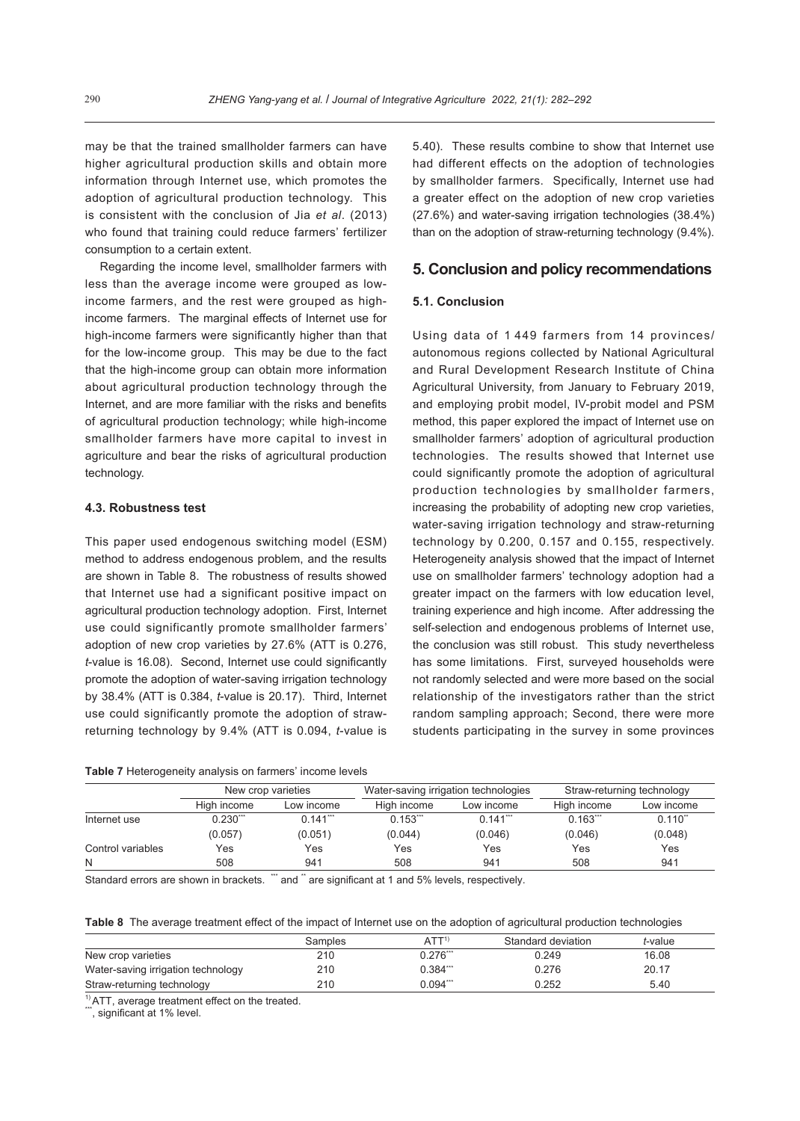may be that the trained smallholder farmers can have higher agricultural production skills and obtain more information through Internet use, which promotes the adoption of agricultural production technology. This is consistent with the conclusion of Jia *et al*. (2013) who found that training could reduce farmers' fertilizer consumption to a certain extent.

Regarding the income level, smallholder farmers with less than the average income were grouped as lowincome farmers, and the rest were grouped as highincome farmers. The marginal effects of Internet use for high-income farmers were significantly higher than that for the low-income group. This may be due to the fact that the high-income group can obtain more information about agricultural production technology through the Internet, and are more familiar with the risks and benefits of agricultural production technology; while high-income smallholder farmers have more capital to invest in agriculture and bear the risks of agricultural production technology.

#### **4.3. Robustness test**

This paper used endogenous switching model (ESM) method to address endogenous problem, and the results are shown in Table 8. The robustness of results showed that Internet use had a significant positive impact on agricultural production technology adoption. First, Internet use could significantly promote smallholder farmers' adoption of new crop varieties by 27.6% (ATT is 0.276, *t*-value is 16.08). Second, Internet use could significantly promote the adoption of water-saving irrigation technology by 38.4% (ATT is 0.384, *t*-value is 20.17). Third, Internet use could significantly promote the adoption of strawreturning technology by 9.4% (ATT is 0.094, *t*-value is

| Table 7 Heterogeneity analysis on farmers' income levels |  |  |  |  |
|----------------------------------------------------------|--|--|--|--|
|----------------------------------------------------------|--|--|--|--|

5.40). These results combine to show that Internet use had different effects on the adoption of technologies by smallholder farmers. Specifically, Internet use had a greater effect on the adoption of new crop varieties (27.6%) and water-saving irrigation technologies (38.4%) than on the adoption of straw-returning technology (9.4%).

#### **5. Conclusion and policy recommendations**

#### **5.1. Conclusion**

Using data of 1 449 farmers from 14 provinces/ autonomous regions collected by National Agricultural and Rural Development Research Institute of China Agricultural University, from January to February 2019, and employing probit model, IV-probit model and PSM method, this paper explored the impact of Internet use on smallholder farmers' adoption of agricultural production technologies. The results showed that Internet use could significantly promote the adoption of agricultural production technologies by smallholder farmers, increasing the probability of adopting new crop varieties, water-saving irrigation technology and straw-returning technology by 0.200, 0.157 and 0.155, respectively. Heterogeneity analysis showed that the impact of Internet use on smallholder farmers' technology adoption had a greater impact on the farmers with low education level, training experience and high income. After addressing the self-selection and endogenous problems of Internet use, the conclusion was still robust. This study nevertheless has some limitations. First, surveyed households were not randomly selected and were more based on the social relationship of the investigators rather than the strict random sampling approach; Second, there were more students participating in the survey in some provinces

|                   |             | Water-saving irrigation technologies<br>New crop varieties |             |                        |                        | Straw-returning technology |
|-------------------|-------------|------------------------------------------------------------|-------------|------------------------|------------------------|----------------------------|
|                   | High income | Low income                                                 | High income | Low income             | High income            | Low income                 |
| Internet use      | $0.230$     | $0.141$ <sup>***</sup>                                     | $0.153$ *** | $0.141$ <sup>***</sup> | $0.163$ <sup>***</sup> | $0.110^{44}$               |
|                   | (0.057)     | (0.051)                                                    | (0.044)     | (0.046)                | (0.046)                | (0.048)                    |
| Control variables | Yes         | Yes                                                        | Yes         | Yes                    | Yes                    | Yes                        |
| N                 | 508         | 941                                                        | 508         | 941                    | 508                    | 941                        |

Standard errors are shown in brackets. <sup>\*\*\*</sup> and \*\* are significant at 1 and 5% levels, respectively.

**Table 8** The average treatment effect of the impact of Internet use on the adoption of agricultural production technologies

|                                    | Samples | ATT <sup>1</sup> | Standard deviation | <i>t</i> -value |
|------------------------------------|---------|------------------|--------------------|-----------------|
| New crop varieties                 | 210     | $0.276$ **       | 0.249              | 16.08           |
| Water-saving irrigation technology | 210     | $0.384$ ***      | 0.276              | 20.17           |
| Straw-returning technology         | 210     | $0.094$ ***      | 0.252              | 5.40            |

 $1)$  ATT, average treatment effect on the treated.<br>"", significant at 1% level.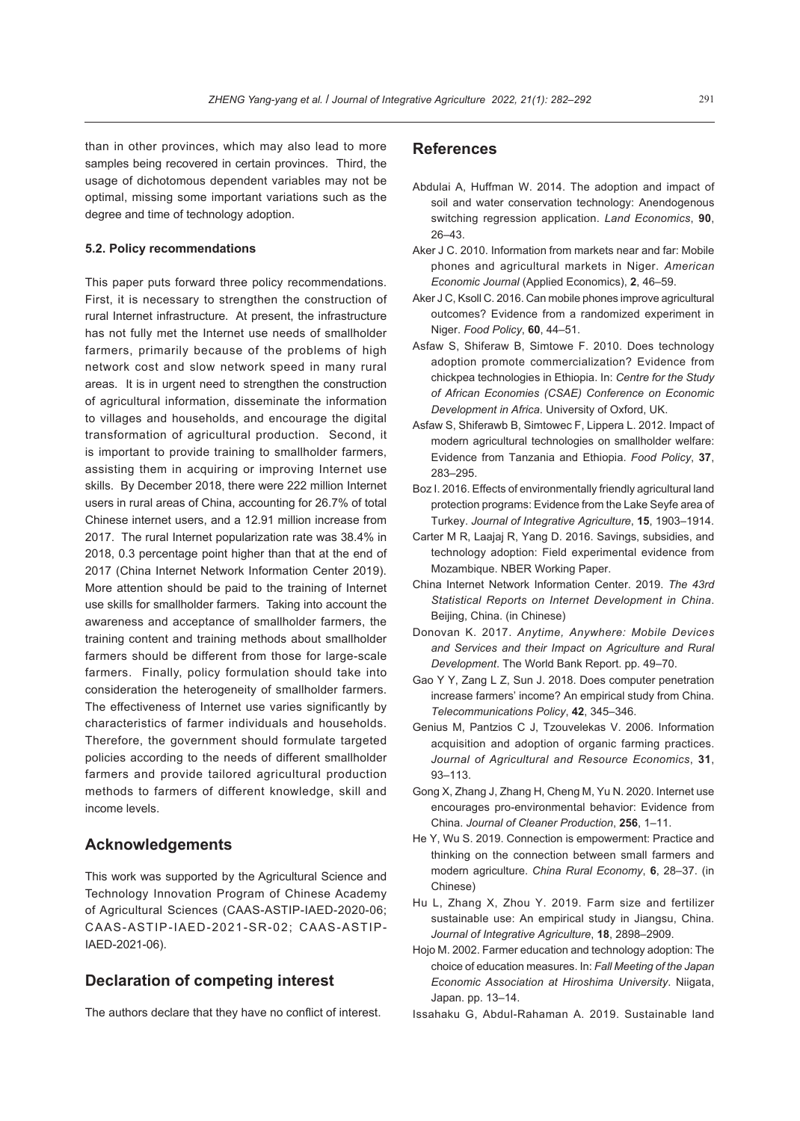than in other provinces, which may also lead to more samples being recovered in certain provinces. Third, the usage of dichotomous dependent variables may not be optimal, missing some important variations such as the degree and time of technology adoption.

#### **5.2. Policy recommendations**

This paper puts forward three policy recommendations. First, it is necessary to strengthen the construction of rural Internet infrastructure. At present, the infrastructure has not fully met the Internet use needs of smallholder farmers, primarily because of the problems of high network cost and slow network speed in many rural areas. It is in urgent need to strengthen the construction of agricultural information, disseminate the information to villages and households, and encourage the digital transformation of agricultural production. Second, it is important to provide training to smallholder farmers, assisting them in acquiring or improving Internet use skills. By December 2018, there were 222 million Internet users in rural areas of China, accounting for 26.7% of total Chinese internet users, and a 12.91 million increase from 2017. The rural Internet popularization rate was 38.4% in 2018, 0.3 percentage point higher than that at the end of 2017 (China Internet Network Information Center 2019). More attention should be paid to the training of Internet use skills for smallholder farmers. Taking into account the awareness and acceptance of smallholder farmers, the training content and training methods about smallholder farmers should be different from those for large-scale farmers. Finally, policy formulation should take into consideration the heterogeneity of smallholder farmers. The effectiveness of Internet use varies significantly by characteristics of farmer individuals and households. Therefore, the government should formulate targeted policies according to the needs of different smallholder farmers and provide tailored agricultural production methods to farmers of different knowledge, skill and income levels.

### **Acknowledgements**

This work was supported by the Agricultural Science and Technology Innovation Program of Chinese Academy of Agricultural Sciences (CAAS-ASTIP-IAED-2020-06; CAAS-ASTIP-IAED-2021-SR-02; CAAS-ASTIP-IAED-2021-06).

## **Declaration of competing interest**

The authors declare that they have no conflict of interest.

#### **References**

- Abdulai A, Huffman W. 2014. The adoption and impact of soil and water conservation technology: Anendogenous switching regression application. *Land Economics*, **90**, 26–43.
- Aker J C. 2010. Information from markets near and far: Mobile phones and agricultural markets in Niger. *American Economic Journal* (Applied Economics), **2**, 46–59.
- Aker J C, Ksoll C. 2016. Can mobile phones improve agricultural outcomes? Evidence from a randomized experiment in Niger. *Food Policy*, **60**, 44–51.
- Asfaw S, Shiferaw B, Simtowe F. 2010. Does technology adoption promote commercialization? Evidence from chickpea technologies in Ethiopia. In: *Centre for the Study of African Economies (CSAE) Conference on Economic Development in Africa*. University of Oxford, UK.
- Asfaw S, Shiferawb B, Simtowec F, Lippera L. 2012. Impact of modern agricultural technologies on smallholder welfare: Evidence from Tanzania and Ethiopia. *Food Policy*, **37**, 283–295.
- Boz I. 2016. Effects of environmentally friendly agricultural land protection programs: Evidence from the Lake Seyfe area of Turkey. *Journal of Integrative Agriculture*, **15**, 1903–1914.
- Carter M R, Laajaj R, Yang D. 2016. Savings, subsidies, and technology adoption: Field experimental evidence from Mozambique. NBER Working Paper.
- China Internet Network Information Center. 2019. *The 43rd Statistical Reports on Internet Development in China*. Beijing, China. (in Chinese)
- Donovan K. 2017. *Anytime, Anywhere: Mobile Devices and Services and their Impact on Agriculture and Rural Development*. The World Bank Report. pp. 49–70.
- Gao Y Y, Zang L Z, Sun J. 2018. Does computer penetration increase farmers' income? An empirical study from China. *Telecommunications Policy*, **42**, 345–346.
- Genius M, Pantzios C J, Tzouvelekas V. 2006. Information acquisition and adoption of organic farming practices. *Journal of Agricultural and Resource Economics*, **31**, 93–113.
- Gong X, Zhang J, Zhang H, Cheng M, Yu N. 2020. Internet use encourages pro-environmental behavior: Evidence from China. *Journal of Cleaner Production*, **256**, 1–11.
- He Y, Wu S. 2019. Connection is empowerment: Practice and thinking on the connection between small farmers and modern agriculture. *China Rural Economy*, **6**, 28–37. (in Chinese)
- Hu L, Zhang X, Zhou Y. 2019. Farm size and fertilizer sustainable use: An empirical study in Jiangsu, China. *Journal of Integrative Agriculture*, **18**, 2898–2909.
- Hojo M. 2002. Farmer education and technology adoption: The choice of education measures. In: *Fall Meeting of the Japan Economic Association at Hiroshima University*. Niigata, Japan. pp. 13–14.
- Issahaku G, Abdul-Rahaman A. 2019. Sustainable land